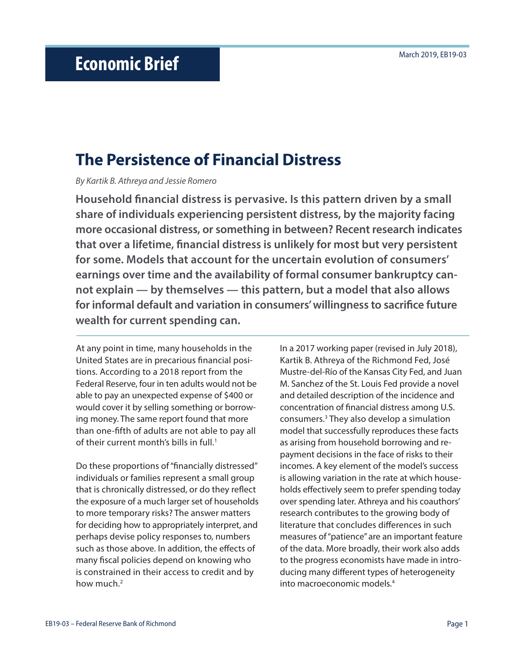# **The Persistence of Financial Distress**

*By Kartik B. Athreya and Jessie Romero*

**Household financial distress is pervasive. Is this pattern driven by a small share of individuals experiencing persistent distress, by the majority facing more occasional distress, or something in between? Recent research indicates that over a lifetime, financial distress is unlikely for most but very persistent for some. Models that account for the uncertain evolution of consumers' earnings over time and the availability of formal consumer bankruptcy cannot explain — by themselves — this pattern, but a model that also allows for informal default and variation in consumers' willingness to sacrifice future wealth for current spending can.**

At any point in time, many households in the United States are in precarious financial positions. According to a 2018 report from the Federal Reserve, four in ten adults would not be able to pay an unexpected expense of \$400 or would cover it by selling something or borrowing money. The same report found that more than one-fifth of adults are not able to pay all of their current month's bills in full.<sup>1</sup>

Do these proportions of "financially distressed" individuals or families represent a small group that is chronically distressed, or do they reflect the exposure of a much larger set of households to more temporary risks? The answer matters for deciding how to appropriately interpret, and perhaps devise policy responses to, numbers such as those above. In addition, the effects of many fiscal policies depend on knowing who is constrained in their access to credit and by how much.<sup>2</sup>

In a 2017 working paper (revised in July 2018), Kartik B. Athreya of the Richmond Fed, José Mustre-del-Río of the Kansas City Fed, and Juan M. Sanchez of the St. Louis Fed provide a novel and detailed description of the incidence and concentration of financial distress among U.S. consumers.3 They also develop a simulation model that successfully reproduces these facts as arising from household borrowing and repayment decisions in the face of risks to their incomes. A key element of the model's success is allowing variation in the rate at which households effectively seem to prefer spending today over spending later. Athreya and his coauthors' research contributes to the growing body of literature that concludes differences in such measures of "patience" are an important feature of the data. More broadly, their work also adds to the progress economists have made in introducing many different types of heterogeneity into macroeconomic models.4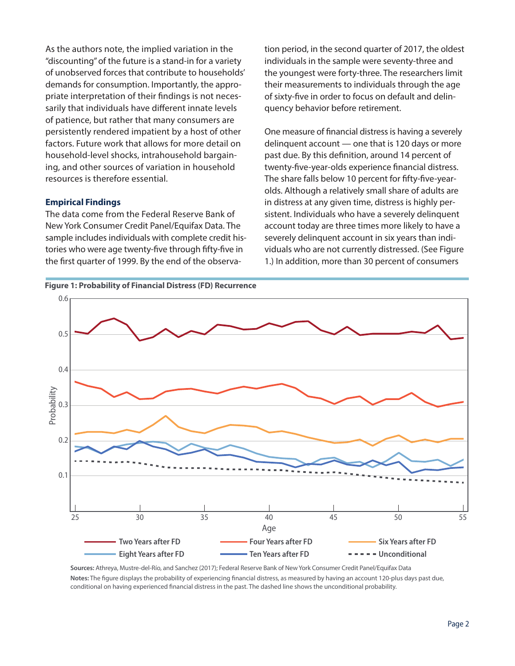As the authors note, the implied variation in the "discounting" of the future is a stand-in for a variety of unobserved forces that contribute to households' demands for consumption. Importantly, the appropriate interpretation of their findings is not necessarily that individuals have different innate levels of patience, but rather that many consumers are persistently rendered impatient by a host of other factors. Future work that allows for more detail on household-level shocks, intrahousehold bargaining, and other sources of variation in household resources is therefore essential.

#### **Empirical Findings**

The data come from the Federal Reserve Bank of New York Consumer Credit Panel/Equifax Data. The sample includes individuals with complete credit histories who were age twenty-five through fifty-five in the first quarter of 1999. By the end of the observation period, in the second quarter of 2017, the oldest individuals in the sample were seventy-three and the youngest were forty-three. The researchers limit their measurements to individuals through the age of sixty-five in order to focus on default and delinquency behavior before retirement.

One measure of financial distress is having a severely delinquent account — one that is 120 days or more past due. By this definition, around 14 percent of twenty-five-year-olds experience financial distress. The share falls below 10 percent for fifty-five-yearolds. Although a relatively small share of adults are in distress at any given time, distress is highly persistent. Individuals who have a severely delinquent account today are three times more likely to have a severely delinquent account in six years than individuals who are not currently distressed. (See Figure 1.) In addition, more than 30 percent of consumers



**Sources:** Athreya, Mustre-del-Río, and Sanchez (2017); Federal Reserve Bank of New York Consumer Credit Panel/Equifax Data Notes: The figure displays the probability of experiencing financial distress, as measured by having an account 120-plus days past due, conditional on having experienced financial distress in the past. The dashed line shows the unconditional probability.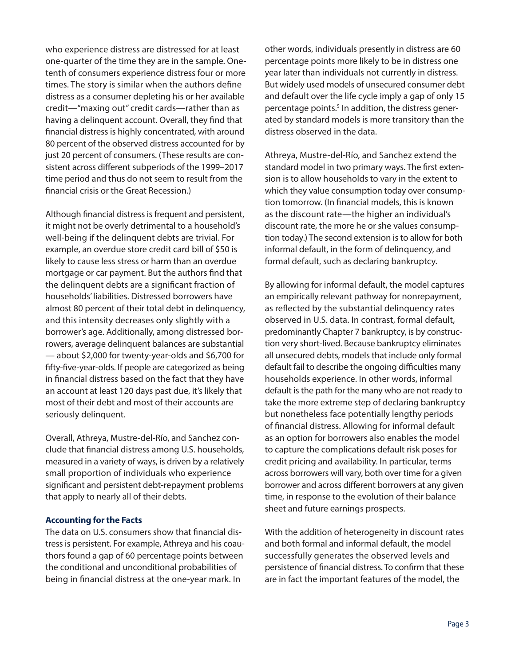who experience distress are distressed for at least one-quarter of the time they are in the sample. Onetenth of consumers experience distress four or more times. The story is similar when the authors define distress as a consumer depleting his or her available credit—"maxing out" credit cards—rather than as having a delinquent account. Overall, they find that financial distress is highly concentrated, with around 80 percent of the observed distress accounted for by just 20 percent of consumers. (These results are consistent across different subperiods of the 1999–2017 time period and thus do not seem to result from the financial crisis or the Great Recession.)

Although financial distress is frequent and persistent, it might not be overly detrimental to a household's well-being if the delinquent debts are trivial. For example, an overdue store credit card bill of \$50 is likely to cause less stress or harm than an overdue mortgage or car payment. But the authors find that the delinquent debts are a significant fraction of households' liabilities. Distressed borrowers have almost 80 percent of their total debt in delinquency, and this intensity decreases only slightly with a borrower's age. Additionally, among distressed borrowers, average delinquent balances are substantial — about \$2,000 for twenty-year-olds and \$6,700 for fifty-five-year-olds. If people are categorized as being in financial distress based on the fact that they have an account at least 120 days past due, it's likely that most of their debt and most of their accounts are seriously delinquent.

Overall, Athreya, Mustre-del-Río, and Sanchez conclude that financial distress among U.S. households, measured in a variety of ways, is driven by a relatively small proportion of individuals who experience significant and persistent debt-repayment problems that apply to nearly all of their debts.

### **Accounting for the Facts**

The data on U.S. consumers show that financial distress is persistent. For example, Athreya and his coauthors found a gap of 60 percentage points between the conditional and unconditional probabilities of being in financial distress at the one-year mark. In

other words, individuals presently in distress are 60 percentage points more likely to be in distress one year later than individuals not currently in distress. But widely used models of unsecured consumer debt and default over the life cycle imply a gap of only 15 percentage points.<sup>5</sup> In addition, the distress generated by standard models is more transitory than the distress observed in the data.

Athreya, Mustre-del-Río, and Sanchez extend the standard model in two primary ways. The first extension is to allow households to vary in the extent to which they value consumption today over consumption tomorrow. (In financial models, this is known as the discount rate—the higher an individual's discount rate, the more he or she values consumption today.) The second extension is to allow for both informal default, in the form of delinquency, and formal default, such as declaring bankruptcy.

By allowing for informal default, the model captures an empirically relevant pathway for nonrepayment, as reflected by the substantial delinquency rates observed in U.S. data. In contrast, formal default, predominantly Chapter 7 bankruptcy, is by construction very short-lived. Because bankruptcy eliminates all unsecured debts, models that include only formal default fail to describe the ongoing difficulties many households experience. In other words, informal default is the path for the many who are not ready to take the more extreme step of declaring bankruptcy but nonetheless face potentially lengthy periods of financial distress. Allowing for informal default as an option for borrowers also enables the model to capture the complications default risk poses for credit pricing and availability. In particular, terms across borrowers will vary, both over time for a given borrower and across different borrowers at any given time, in response to the evolution of their balance sheet and future earnings prospects.

With the addition of heterogeneity in discount rates and both formal and informal default, the model successfully generates the observed levels and persistence of financial distress. To confirm that these are in fact the important features of the model, the